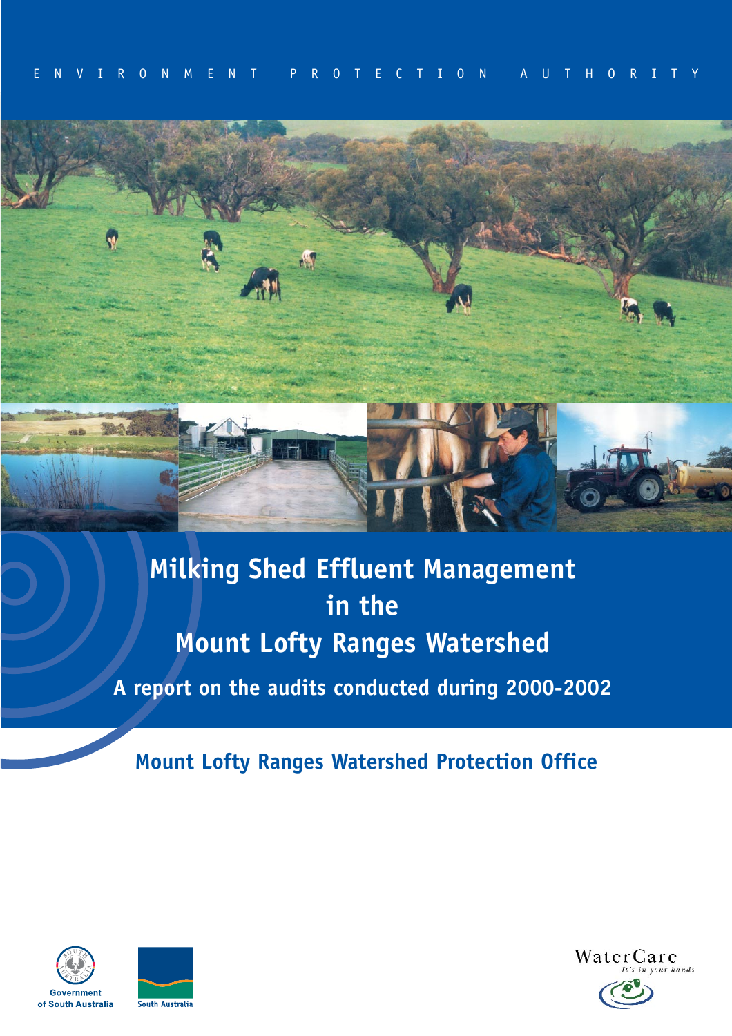

**Milking Shed Effluent Management in the Mount Lofty Ranges Watershed A report on the audits conducted during 2000-2002** 

**Mount Lofty Ranges Watershed Protection Office** 





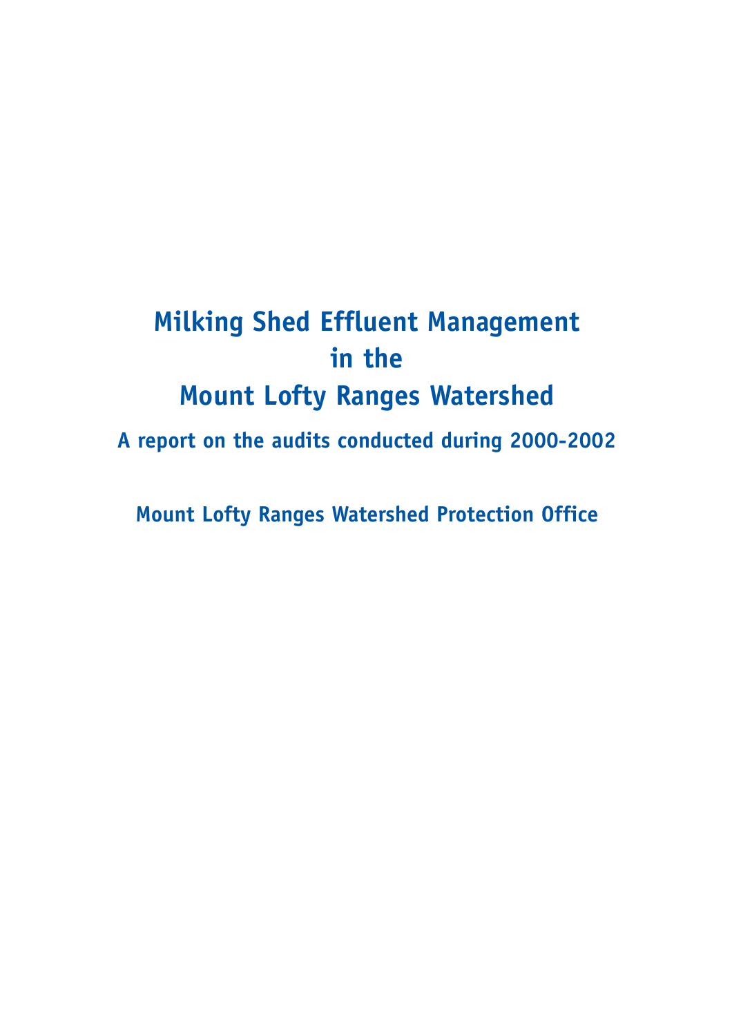# **Milking Shed Effluent Management in the Mount Lofty Ranges Watershed**

**A report on the audits conducted during 2000-2002** 

**Mount Lofty Ranges Watershed Protection Office**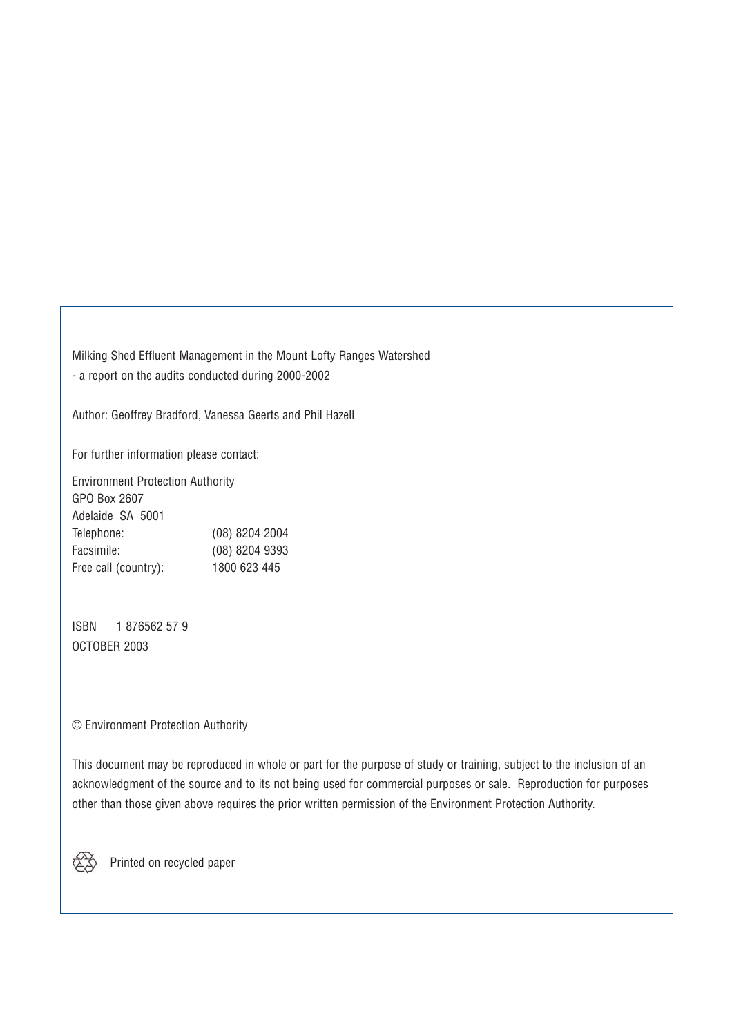Milking Shed Effluent Management in the Mount Lofty Ranges Watershed - a report on the audits conducted during 2000-2002

Author: Geoffrey Bradford, Vanessa Geerts and Phil Hazell

For further information please contact:

Environment Protection Authority GPO Box 2607 Adelaide SA 5001 Telephone: (08) 8204 2004 Facsimile: (08) 8204 9393 Free call (country): 1800 623 445

ISBN 1 876562 57 9 OCTOBER 2003

#### © Environment Protection Authority

This document may be reproduced in whole or part for the purpose of study or training, subject to the inclusion of an acknowledgment of the source and to its not being used for commercial purposes or sale. Reproduction for purposes other than those given above requires the prior written permission of the Environment Protection Authority.

Printed on recycled paper

 $\mathbb{Z}$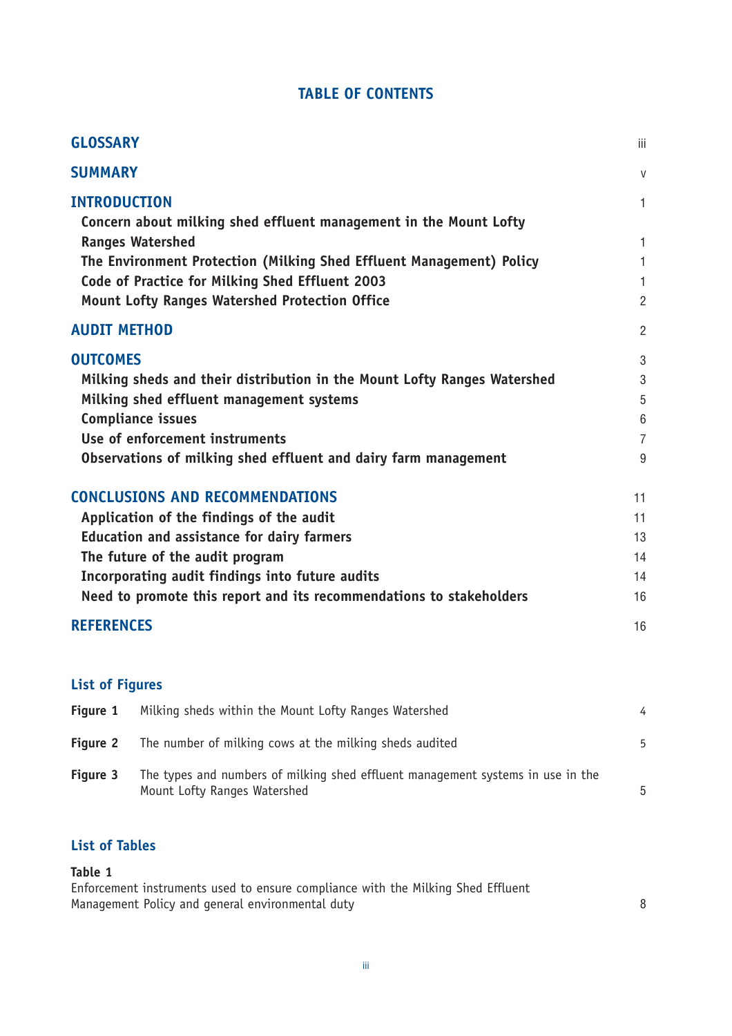## **TABLE OF CONTENTS**

| <b>GLOSSARY</b>                                                                          | iii            |
|------------------------------------------------------------------------------------------|----------------|
| <b>SUMMARY</b>                                                                           | $\mathsf{V}$   |
| <b>INTRODUCTION</b><br>Concern about milking shed effluent management in the Mount Lofty | $\mathbf{1}$   |
| <b>Ranges Watershed</b>                                                                  | $\mathbf{1}$   |
| The Environment Protection (Milking Shed Effluent Management) Policy                     | $\mathbf{1}$   |
| Code of Practice for Milking Shed Effluent 2003                                          | $\mathbf{1}$   |
| <b>Mount Lofty Ranges Watershed Protection Office</b>                                    | $\overline{2}$ |
| <b>AUDIT METHOD</b>                                                                      | $\overline{2}$ |
| <b>OUTCOMES</b>                                                                          | 3              |
| Milking sheds and their distribution in the Mount Lofty Ranges Watershed                 | 3              |
| Milking shed effluent management systems                                                 | 5              |
| <b>Compliance issues</b>                                                                 | $6\,$          |
| Use of enforcement instruments                                                           | $\overline{7}$ |
| Observations of milking shed effluent and dairy farm management                          | 9              |
| <b>CONCLUSIONS AND RECOMMENDATIONS</b>                                                   | 11             |
| Application of the findings of the audit                                                 | 11             |
| <b>Education and assistance for dairy farmers</b>                                        | 13             |
| The future of the audit program                                                          | 14             |
| Incorporating audit findings into future audits                                          | 14             |
| Need to promote this report and its recommendations to stakeholders                      | 16             |
| <b>REFERENCES</b>                                                                        | 16             |

# **List of Figures**

| Figure 1        | Milking sheds within the Mount Lofty Ranges Watershed                                                           |    |
|-----------------|-----------------------------------------------------------------------------------------------------------------|----|
| <b>Figure 2</b> | The number of milking cows at the milking sheds audited                                                         | 5  |
| Figure 3        | The types and numbers of milking shed effluent management systems in use in the<br>Mount Lofty Ranges Watershed | .5 |

# **List of Tables**

#### **Table 1**

Enforcement instruments used to ensure compliance with the Milking Shed Effluent Management Policy and general environmental duty **Example 2018** 8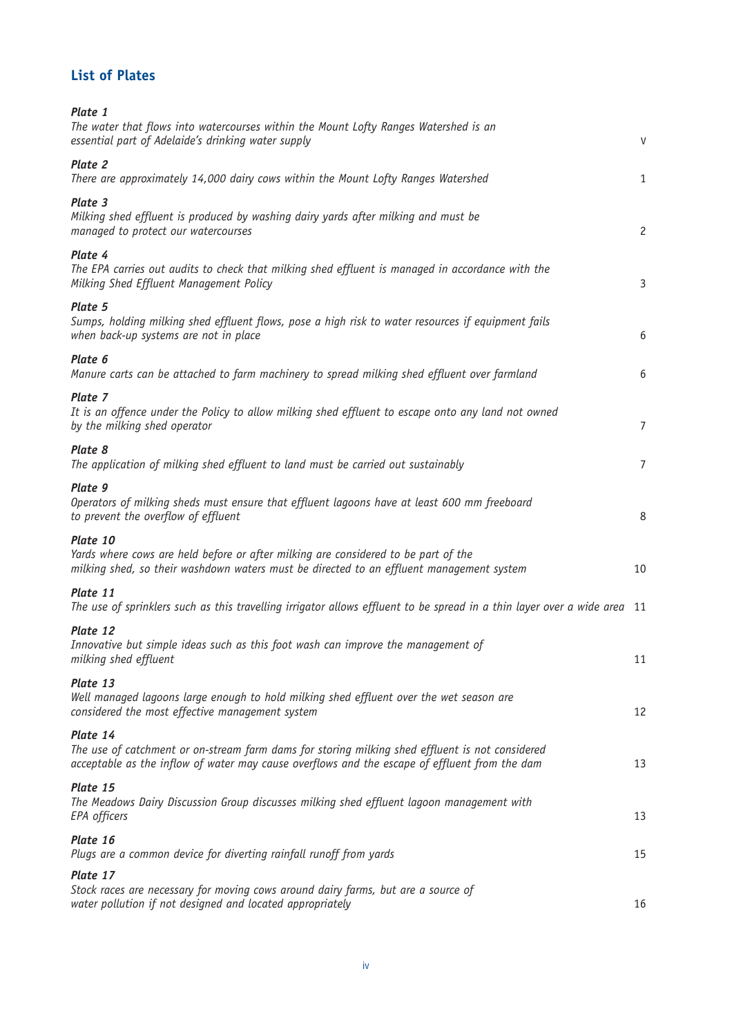# **List of Plates**

| Plate 1<br>The water that flows into watercourses within the Mount Lofty Ranges Watershed is an<br>essential part of Adelaide's drinking water supply                                                        | V              |
|--------------------------------------------------------------------------------------------------------------------------------------------------------------------------------------------------------------|----------------|
| Plate 2<br>There are approximately 14,000 dairy cows within the Mount Lofty Ranges Watershed                                                                                                                 | $\mathbf{1}$   |
| Plate 3<br>Milking shed effluent is produced by washing dairy yards after milking and must be<br>managed to protect our watercourses                                                                         | $\overline{c}$ |
| Plate 4<br>The EPA carries out audits to check that milking shed effluent is managed in accordance with the<br>Milking Shed Effluent Management Policy                                                       | $\mathsf{3}$   |
| Plate 5<br>Sumps, holding milking shed effluent flows, pose a high risk to water resources if equipment fails<br>when back-up systems are not in place                                                       | 6              |
| Plate 6<br>Manure carts can be attached to farm machinery to spread milking shed effluent over farmland                                                                                                      | 6              |
| Plate 7<br>It is an offence under the Policy to allow milking shed effluent to escape onto any land not owned<br>by the milking shed operator                                                                | $\overline{7}$ |
| Plate 8<br>The application of milking shed effluent to land must be carried out sustainably                                                                                                                  | $\overline{7}$ |
| Plate 9<br>Operators of milking sheds must ensure that effluent lagoons have at least 600 mm freeboard<br>to prevent the overflow of effluent                                                                | 8              |
| Plate 10<br>Yards where cows are held before or after milking are considered to be part of the<br>milking shed, so their washdown waters must be directed to an effluent management system                   | 10             |
| Plate 11<br>The use of sprinklers such as this travelling irrigator allows effluent to be spread in a thin layer over a wide area 11                                                                         |                |
| Plate 12<br>Innovative but simple ideas such as this foot wash can improve the management of<br>milking shed effluent                                                                                        | 11             |
| Plate 13<br>Well managed lagoons large enough to hold milking shed effluent over the wet season are<br>considered the most effective management system                                                       | 12             |
| Plate 14<br>The use of catchment or on-stream farm dams for storing milking shed effluent is not considered<br>acceptable as the inflow of water may cause overflows and the escape of effluent from the dam | 13             |
| Plate 15<br>The Meadows Dairy Discussion Group discusses milking shed effluent lagoon management with<br>EPA officers                                                                                        | 13             |
| Plate 16<br>Plugs are a common device for diverting rainfall runoff from yards                                                                                                                               | 15             |
| Plate 17<br>Stock races are necessary for moving cows around dairy farms, but are a source of<br>water pollution if not designed and located appropriately                                                   | 16             |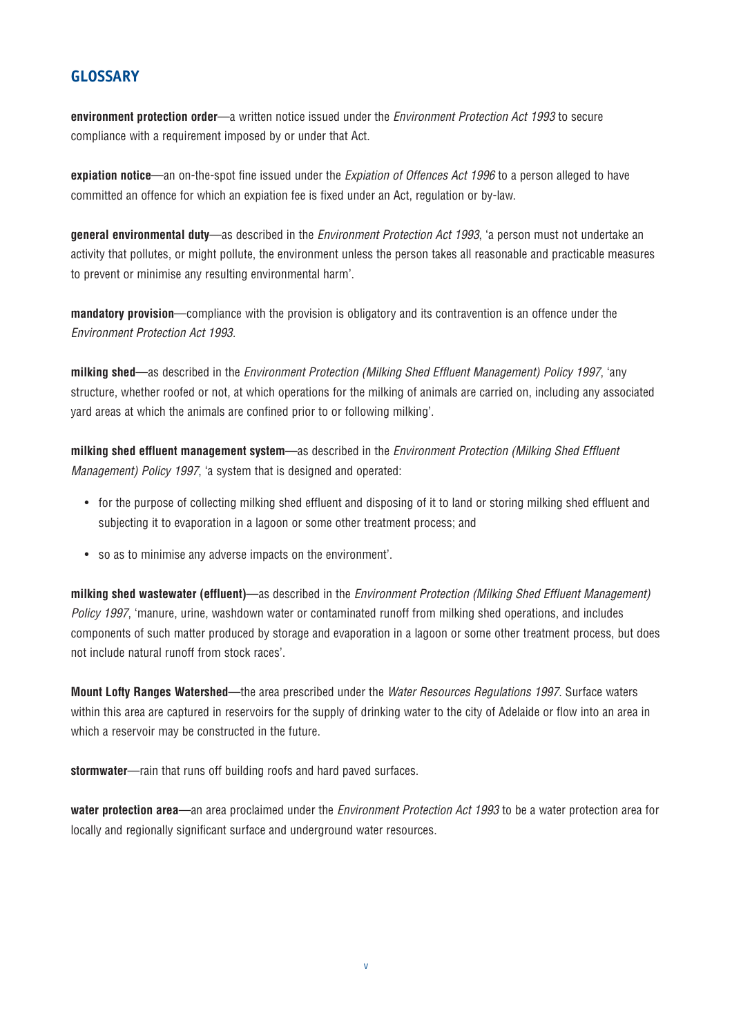#### **GLOSSARY**

**environment protection order**—a written notice issued under the *Environment Protection Act 1993* to secure compliance with a requirement imposed by or under that Act.

**expiation notice**—an on-the-spot fine issued under the *Expiation of Offences Act 1996* to a person alleged to have committed an offence for which an expiation fee is fixed under an Act, regulation or by-law.

**general environmental duty**—as described in the *Environment Protection Act 1993*, 'a person must not undertake an activity that pollutes, or might pollute, the environment unless the person takes all reasonable and practicable measures to prevent or minimise any resulting environmental harm'.

**mandatory provision**—compliance with the provision is obligatory and its contravention is an offence under the *Environment Protection Act 1993.* 

**milking shed**—as described in the *Environment Protection (Milking Shed Effluent Management) Policy 1997*, 'any structure, whether roofed or not, at which operations for the milking of animals are carried on, including any associated yard areas at which the animals are confined prior to or following milking'.

**milking shed effluent management system**—as described in the *Environment Protection (Milking Shed Effluent Management) Policy 1997*, 'a system that is designed and operated:

- for the purpose of collecting milking shed effluent and disposing of it to land or storing milking shed effluent and subjecting it to evaporation in a lagoon or some other treatment process; and
- so as to minimise any adverse impacts on the environment'.

**milking shed wastewater (effluent)**—as described in the *Environment Protection (Milking Shed Effluent Management) Policy 1997*, 'manure, urine, washdown water or contaminated runoff from milking shed operations, and includes components of such matter produced by storage and evaporation in a lagoon or some other treatment process, but does not include natural runoff from stock races'.

**Mount Lofty Ranges Watershed**—the area prescribed under the *Water Resources Regulations 1997*. Surface waters within this area are captured in reservoirs for the supply of drinking water to the city of Adelaide or flow into an area in which a reservoir may be constructed in the future.

**stormwater**—rain that runs off building roofs and hard paved surfaces.

**water protection area**—an area proclaimed under the *Environment Protection Act 1993* to be a water protection area for locally and regionally significant surface and underground water resources.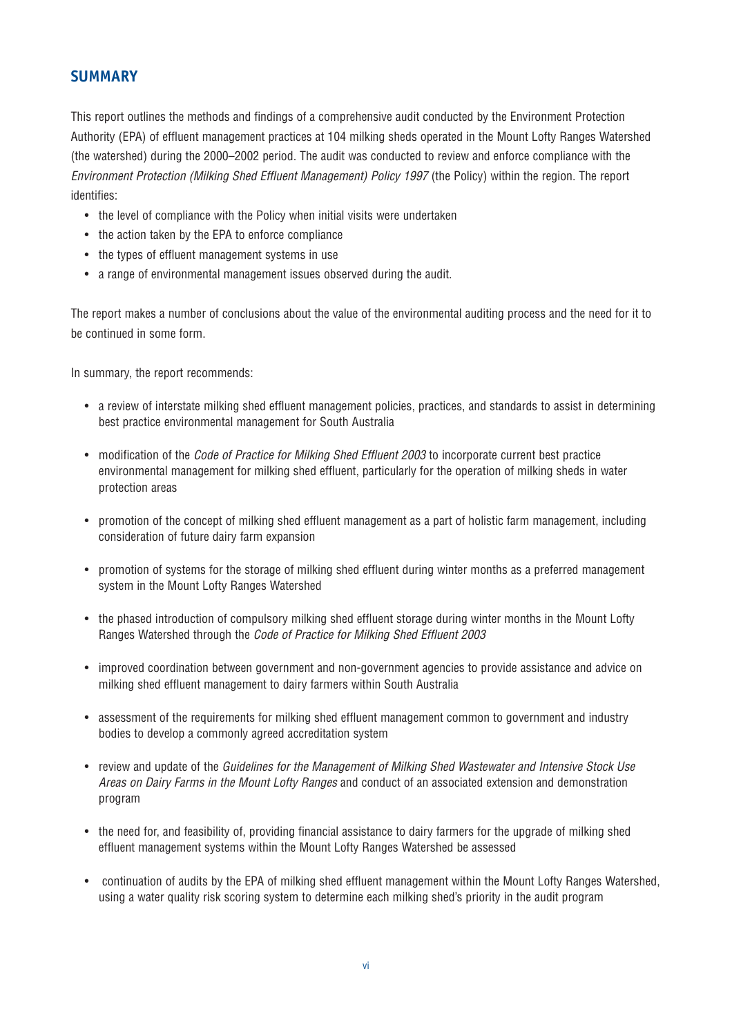### **SUMMARY**

This report outlines the methods and findings of a comprehensive audit conducted by the Environment Protection Authority (EPA) of effluent management practices at 104 milking sheds operated in the Mount Lofty Ranges Watershed (the watershed) during the 2000–2002 period. The audit was conducted to review and enforce compliance with the *Environment Protection (Milking Shed Effluent Management) Policy 1997* (the Policy) within the region. The report identifies:

- the level of compliance with the Policy when initial visits were undertaken
- the action taken by the EPA to enforce compliance
- the types of effluent management systems in use
- a range of environmental management issues observed during the audit.

The report makes a number of conclusions about the value of the environmental auditing process and the need for it to be continued in some form.

In summary, the report recommends:

- a review of interstate milking shed effluent management policies, practices, and standards to assist in determining best practice environmental management for South Australia
- modification of the *Code of Practice for Milking Shed Effluent 2003* to incorporate current best practice environmental management for milking shed effluent, particularly for the operation of milking sheds in water protection areas
- promotion of the concept of milking shed effluent management as a part of holistic farm management, including consideration of future dairy farm expansion
- promotion of systems for the storage of milking shed effluent during winter months as a preferred management system in the Mount Lofty Ranges Watershed
- the phased introduction of compulsory milking shed effluent storage during winter months in the Mount Lofty Ranges Watershed through the *Code of Practice for Milking Shed Effluent 2003*
- improved coordination between government and non-government agencies to provide assistance and advice on milking shed effluent management to dairy farmers within South Australia
- • assessment of the requirements for milking shed effluent management common to government and industry bodies to develop a commonly agreed accreditation system
- review and update of the *Guidelines for the Management of Milking Shed Wastewater and Intensive Stock Use Areas on Dairy Farms in the Mount Lofty Ranges* and conduct of an associated extension and demonstration program
- the need for, and feasibility of, providing financial assistance to dairy farmers for the upgrade of milking shed effluent management systems within the Mount Lofty Ranges Watershed be assessed
- continuation of audits by the EPA of milking shed effluent management within the Mount Lofty Ranges Watershed, using a water quality risk scoring system to determine each milking shed's priority in the audit program